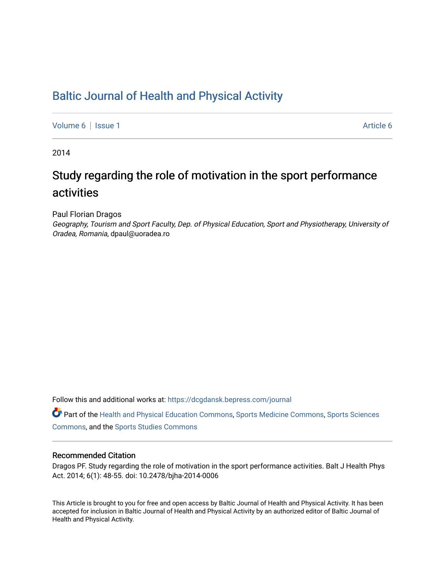## [Baltic Journal of Health and Physical Activity](https://dcgdansk.bepress.com/journal)

[Volume 6](https://dcgdansk.bepress.com/journal/vol6) | [Issue 1](https://dcgdansk.bepress.com/journal/vol6/iss1) [Article 6](https://dcgdansk.bepress.com/journal/vol6/iss1/6) | Article 6 | Article 6 | Article 6 | Article 6 | Article 6 | Article 6 | Article 6 | Article 6 | Article 6 | Article 6 | Article 6 | Article 6 | Article 6 | Article 6 | Article 6 | Article 6 |

2014

# Study regarding the role of motivation in the sport performance activities

Paul Florian Dragos

Geography, Tourism and Sport Faculty, Dep. of Physical Education, Sport and Physiotherapy, University of Oradea, Romania, dpaul@uoradea.ro

Follow this and additional works at: [https://dcgdansk.bepress.com/journal](https://dcgdansk.bepress.com/journal?utm_source=dcgdansk.bepress.com%2Fjournal%2Fvol6%2Fiss1%2F6&utm_medium=PDF&utm_campaign=PDFCoverPages)

Part of the [Health and Physical Education Commons](http://network.bepress.com/hgg/discipline/1327?utm_source=dcgdansk.bepress.com%2Fjournal%2Fvol6%2Fiss1%2F6&utm_medium=PDF&utm_campaign=PDFCoverPages), [Sports Medicine Commons,](http://network.bepress.com/hgg/discipline/1331?utm_source=dcgdansk.bepress.com%2Fjournal%2Fvol6%2Fiss1%2F6&utm_medium=PDF&utm_campaign=PDFCoverPages) [Sports Sciences](http://network.bepress.com/hgg/discipline/759?utm_source=dcgdansk.bepress.com%2Fjournal%2Fvol6%2Fiss1%2F6&utm_medium=PDF&utm_campaign=PDFCoverPages) [Commons](http://network.bepress.com/hgg/discipline/759?utm_source=dcgdansk.bepress.com%2Fjournal%2Fvol6%2Fiss1%2F6&utm_medium=PDF&utm_campaign=PDFCoverPages), and the [Sports Studies Commons](http://network.bepress.com/hgg/discipline/1198?utm_source=dcgdansk.bepress.com%2Fjournal%2Fvol6%2Fiss1%2F6&utm_medium=PDF&utm_campaign=PDFCoverPages) 

#### Recommended Citation

Dragos PF. Study regarding the role of motivation in the sport performance activities. Balt J Health Phys Act. 2014; 6(1): 48-55. doi: 10.2478/bjha-2014-0006

This Article is brought to you for free and open access by Baltic Journal of Health and Physical Activity. It has been accepted for inclusion in Baltic Journal of Health and Physical Activity by an authorized editor of Baltic Journal of Health and Physical Activity.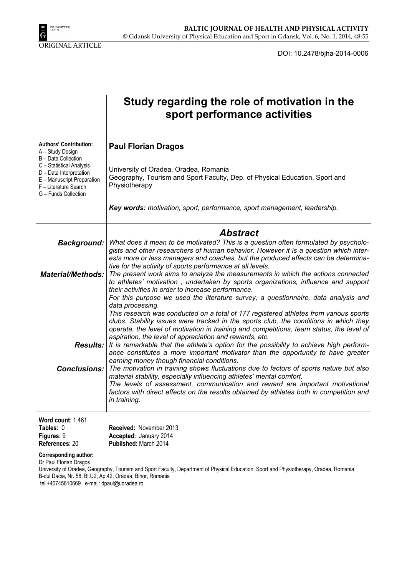

DOI: 10.2478/bjha-2014-0006

|                                                                                                                                    | Study regarding the role of motivation in the<br>sport performance activities                                                                                                                                                                                                                                                                                                    |
|------------------------------------------------------------------------------------------------------------------------------------|----------------------------------------------------------------------------------------------------------------------------------------------------------------------------------------------------------------------------------------------------------------------------------------------------------------------------------------------------------------------------------|
| <b>Authors' Contribution:</b><br>A - Study Design<br>B - Data Collection                                                           | <b>Paul Florian Dragos</b>                                                                                                                                                                                                                                                                                                                                                       |
| C - Statistical Analysis<br>D - Data Interpretation<br>E - Manuscript Preparation<br>F - Literature Search<br>G - Funds Collection | University of Oradea, Oradea, Romania<br>Geography, Tourism and Sport Faculty, Dep. of Physical Education, Sport and<br>Physiotherapy                                                                                                                                                                                                                                            |
|                                                                                                                                    | Key words: motivation, sport, performance, sport management, leadership.                                                                                                                                                                                                                                                                                                         |
|                                                                                                                                    | <b>Abstract</b>                                                                                                                                                                                                                                                                                                                                                                  |
| <b>Background:</b>                                                                                                                 | What does it mean to be motivated? This is a question often formulated by psycholo-<br>gists and other researchers of human behavior. However it is a question which inter-<br>ests more or less managers and coaches, but the produced effects can be determina-                                                                                                                |
| <b>Material/Methods:</b>                                                                                                           | tive for the activity of sports performance at all levels.<br>The present work aims to analyze the measurements in which the actions connected<br>to athletes' motivation, undertaken by sports organizations, influence and support<br>their activities in order to increase performance.<br>For this purpose we used the literature survey, a questionnaire, data analysis and |
|                                                                                                                                    | data processing.<br>This research was conducted on a total of 177 registered athletes from various sports<br>clubs. Stability issues were tracked in the sports club, the conditions in which they<br>operate, the level of motivation in training and competitions, team status, the level of<br>aspiration, the level of appreciation and rewards, etc.                        |
| <b>Results:</b>                                                                                                                    | It is remarkable that the athlete's option for the possibility to achieve high perform-<br>ance constitutes a more important motivator than the opportunity to have greater<br>earning money though financial conditions.                                                                                                                                                        |
| <b>Conclusions:</b>                                                                                                                | The motivation in training shows fluctuations due to factors of sports nature but also<br>material stability, especially influencing athletes' mental comfort.                                                                                                                                                                                                                   |
|                                                                                                                                    | The levels of assessment, communication and reward are important motivational<br>factors with direct effects on the results obtained by athletes both in competition and<br>in training.                                                                                                                                                                                         |
| Word count: 1,461<br>Tables: 0                                                                                                     | Received: November 2013                                                                                                                                                                                                                                                                                                                                                          |

**Corresponding author:** 

**Figures:** 9 **References**: 20

Dr Paul Florian Dragos

University of Oradea, Geography, Tourism and Sport Faculty, Department of Physical Education, Sport and Physiotherapy, Oradea, Romania B-dul Dacia, Nr. 58, Bl.U2, Ap.42, Oradea, Bihor, Romania

tel.+40745610669 e-mail: dpaul@uoradea.ro

**Accepted:** January 2014 **Published:** March 2014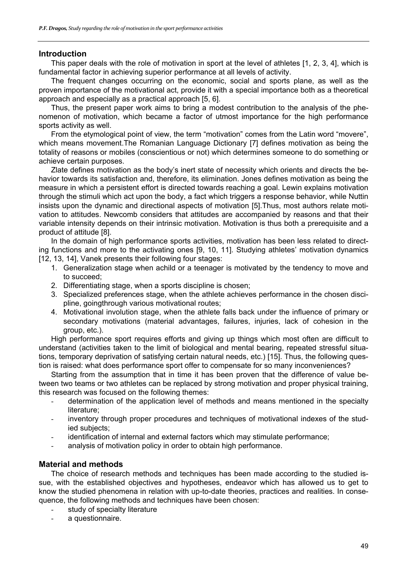## **Introduction**

This paper deals with the role of motivation in sport at the level of athletes [1, 2, 3, 4], which is fundamental factor in achieving superior performance at all levels of activity.

The frequent changes occurring on the economic, social and sports plane, as well as the proven importance of the motivational act, provide it with a special importance both as a theoretical approach and especially as a practical approach [5, 6].

Thus, the present paper work aims to bring a modest contribution to the analysis of the phenomenon of motivation, which became a factor of utmost importance for the high performance sports activity as well.

From the etymological point of view, the term "motivation" comes from the Latin word "movere", which means movement.The Romanian Language Dictionary [7] defines motivation as being the totality of reasons or mobiles (conscientious or not) which determines someone to do something or achieve certain purposes.

Zlate defines motivation as the body's inert state of necessity which orients and directs the behavior towards its satisfaction and, therefore, its elimination. Jones defines motivation as being the measure in which a persistent effort is directed towards reaching a goal. Lewin explains motivation through the stimuli which act upon the body, a fact which triggers a response behavior, while Nuttin insists upon the dynamic and directional aspects of motivation [5].Thus, most authors relate motivation to attitudes. Newcomb considers that attitudes are accompanied by reasons and that their variable intensity depends on their intrinsic motivation. Motivation is thus both a prerequisite and a product of attitude [8].

In the domain of high performance sports activities, motivation has been less related to directing functions and more to the activating ones [9, 10, 11]. Studying athletes' motivation dynamics [12, 13, 14]. Vanek presents their following four stages:

- 1. Generalization stage when achild or a teenager is motivated by the tendency to move and to succeed;
- 2. Differentiating stage, when a sports discipline is chosen;
- 3. Specialized preferences stage, when the athlete achieves performance in the chosen discipline, goingthrough various motivational routes;
- 4. Motivational involution stage, when the athlete falls back under the influence of primary or secondary motivations (material advantages, failures, injuries, lack of cohesion in the group, etc.).

High performance sport requires efforts and giving up things which most often are difficult to understand (activities taken to the limit of biological and mental bearing, repeated stressful situations, temporary deprivation of satisfying certain natural needs, etc.) [15]. Thus, the following question is raised: what does performance sport offer to compensate for so many inconveniences?

Starting from the assumption that in time it has been proven that the difference of value between two teams or two athletes can be replaced by strong motivation and proper physical training, this research was focused on the following themes:

- determination of the application level of methods and means mentioned in the specialty literature;
- inventory through proper procedures and techniques of motivational indexes of the studied subjects;
- identification of internal and external factors which may stimulate performance;
- analysis of motivation policy in order to obtain high performance.

## **Material and methods**

The choice of research methods and techniques has been made according to the studied issue, with the established objectives and hypotheses, endeavor which has allowed us to get to know the studied phenomena in relation with up-to-date theories, practices and realities. In consequence, the following methods and techniques have been chosen:

- study of specialty literature
- a questionnaire.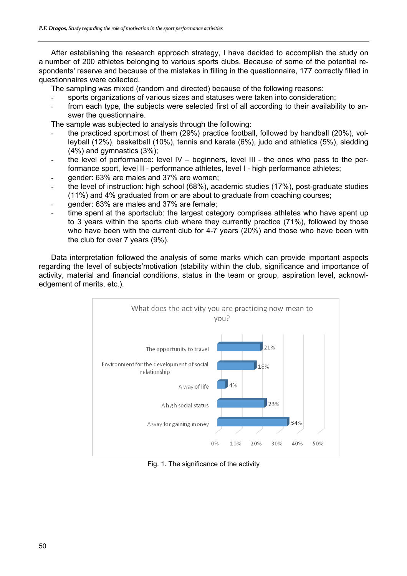After establishing the research approach strategy, I have decided to accomplish the study on a number of 200 athletes belonging to various sports clubs. Because of some of the potential respondents' reserve and because of the mistakes in filling in the questionnaire, 177 correctly filled in questionnaires were collected.

The sampling was mixed (random and directed) because of the following reasons:

- sports organizations of various sizes and statuses were taken into consideration;
- from each type, the subjects were selected first of all according to their availability to answer the questionnaire.

The sample was subjected to analysis through the following:

- the practiced sport:most of them (29%) practice football, followed by handball (20%), volleyball (12%), basketball (10%), tennis and karate (6%), judo and athletics (5%), sledding (4%) and gymnastics (3%);
- the level of performance: level  $IV -$  beginners, level III the ones who pass to the performance sport, level II - performance athletes, level I - high performance athletes;
- gender: 63% are males and 37% are women;
- the level of instruction: high school (68%), academic studies (17%), post-graduate studies (11%) and 4% graduated from or are about to graduate from coaching courses;
- gender: 63% are males and 37% are female;
- time spent at the sportsclub: the largest category comprises athletes who have spent up to 3 years within the sports club where they currently practice (71%), followed by those who have been with the current club for 4-7 years (20%) and those who have been with the club for over 7 years (9%).

Data interpretation followed the analysis of some marks which can provide important aspects regarding the level of subjects'motivation (stability within the club, significance and importance of activity, material and financial conditions, status in the team or group, aspiration level, acknowledgement of merits, etc.).



Fig. 1. The significance of the activity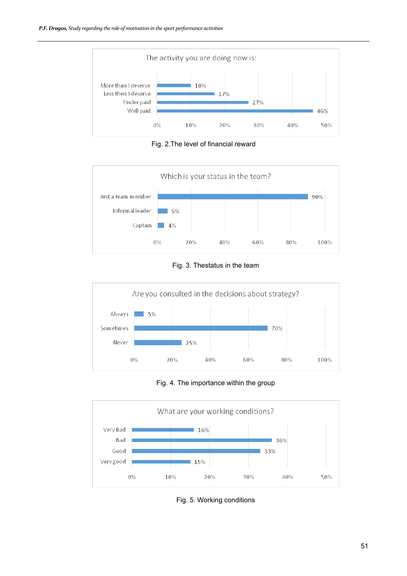

Fig. 2.The level of financial reward



Fig. 3. Thestatus in the team



Fig. 4. The importance within the group



Fig. 5. Working conditions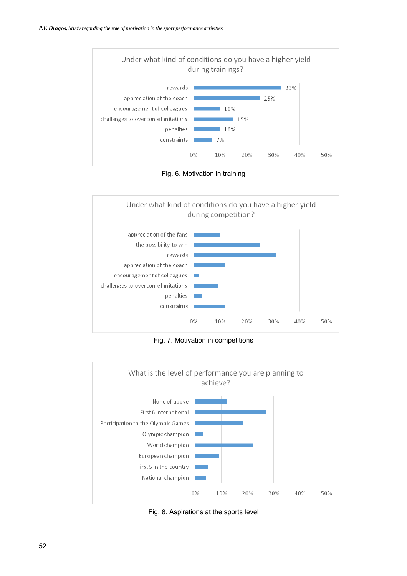

Fig. 6. Motivation in training



Fig. 7. Motivation in competitions



Fig. 8. Aspirations at the sports level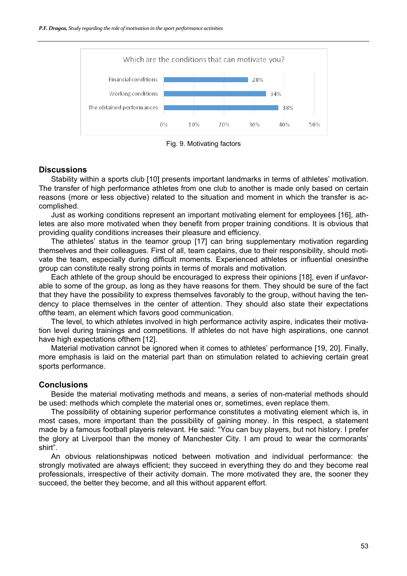



## **Discussions**

Stability within a sports club [10] presents important landmarks in terms of athletes' motivation. The transfer of high performance athletes from one club to another is made only based on certain reasons (more or less objective) related to the situation and moment in which the transfer is accomplished.

Just as working conditions represent an important motivating element for employees [16], athletes are also more motivated when they benefit from proper training conditions. It is obvious that providing quality conditions increases their pleasure and efficiency.

The athletes' status in the teamor group [17] can bring supplementary motivation regarding themselves and their colleagues. First of all, team captains, due to their responsibility, should motivate the team, especially during difficult moments. Experienced athletes or influential onesinthe group can constitute really strong points in terms of morals and motivation.

Each athlete of the group should be encouraged to express their opinions [18], even if unfavorable to some of the group, as long as they have reasons for them. They should be sure of the fact that they have the possibility to express themselves favorably to the group, without having the tendency to place themselves in the center of attention. They should also state their expectations ofthe team, an element which favors good communication.

The level, to which athletes involved in high performance activity aspire, indicates their motivation level during trainings and competitions. If athletes do not have high aspirations, one cannot have high expectations ofthem [12].

Material motivation cannot be ignored when it comes to athletes' performance [19, 20]. Finally, more emphasis is laid on the material part than on stimulation related to achieving certain great sports performance.

### **Conclusions**

Beside the material motivating methods and means, a series of non-material methods should be used: methods which complete the material ones or, sometimes, even replace them.

The possibility of obtaining superior performance constitutes a motivating element which is, in most cases, more important than the possibility of gaining money. In this respect, a statement made by a famous football playeris relevant. He said: "You can buy players, but not history. I prefer the glory at Liverpool than the money of Manchester City. I am proud to wear the cormorants' shirt".

An obvious relationshipwas noticed between motivation and individual performance: the strongly motivated are always efficient; they succeed in everything they do and they become real professionals, irrespective of their activity domain. The more motivated they are, the sooner they succeed, the better they become, and all this without apparent effort.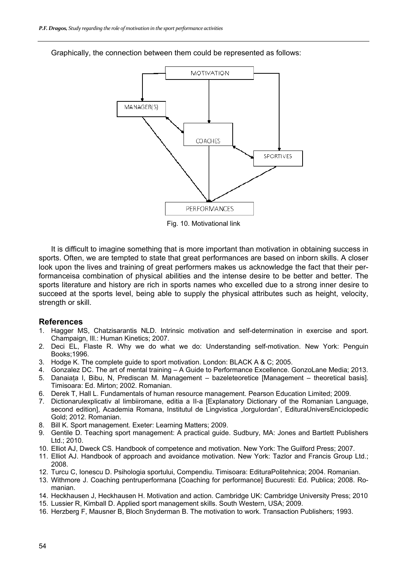

Graphically, the connection between them could be represented as follows:

Fig. 10. Motivational link

It is difficult to imagine something that is more important than motivation in obtaining success in sports. Often, we are tempted to state that great performances are based on inborn skills. A closer look upon the lives and training of great performers makes us acknowledge the fact that their performanceisa combination of physical abilities and the intense desire to be better and better. The sports literature and history are rich in sports names who excelled due to a strong inner desire to succeed at the sports level, being able to supply the physical attributes such as height, velocity, strength or skill.

#### **References**

- 1. Hagger MS, Chatzisarantis NLD. Intrinsic motivation and self-determination in exercise and sport. Champaign, Ill.: Human Kinetics; 2007.
- 2. Deci EL, Flaste R. Why we do what we do: Understanding self-motivation. New York: Penguin Books;1996.
- 3. Hodge K. The complete guide to sport motivation. London: BLACK A & C; 2005.
- 4. Gonzalez DC. The art of mental training A Guide to Performance Excellence. GonzoLane Media; 2013.
- 5. Danaiata I, Bibu, N, Prediscan M. Management bazeleteoretice [Management theoretical basis]. Timisoara: Ed. Mirton; 2002. Romanian.
- 6. Derek T, Hall L. Fundamentals of human resource management. Pearson Education Limited; 2009.
- 7. Dictionarulexplicativ al limbiiromane, editia a II-a [Explanatory Dictionary of the Romanian Language, second edition], Academia Romana, Institutul de Lingvistica "lorgulordan", EdituraUniversEnciclopedic Gold; 2012. Romanian.
- 8. Bill K. Sport management. Exeter: Learning Matters; 2009.
- 9. Gentile D. Teaching sport management: A practical guide. Sudbury, MA: Jones and Bartlett Publishers Ltd.; 2010.
- 10. Elliot AJ, Dweck CS. Handbook of competence and motivation. New York: The Guilford Press; 2007.
- 11. Elliot AJ. Handbook of approach and avoidance motivation. New York: Tazlor and Francis Group Ltd.; 2008.
- 12. Turcu C, Ionescu D. Psihologia sportului, Compendiu. Timisoara: EdituraPolitehnica; 2004. Romanian.
- 13. Withmore J. Coaching pentruperformana [Coaching for performance] Bucuresti: Ed. Publica; 2008. Romanian.
- 14. Heckhausen J, Heckhausen H. Motivation and action. Cambridge UK: Cambridge University Press; 2010
- 15. Lussier R, Kimball D. Applied sport management skills. South Western, USA; 2009.
- 16. Herzberg F, Mausner B, Bloch Snyderman B. The motivation to work. Transaction Publishers; 1993.